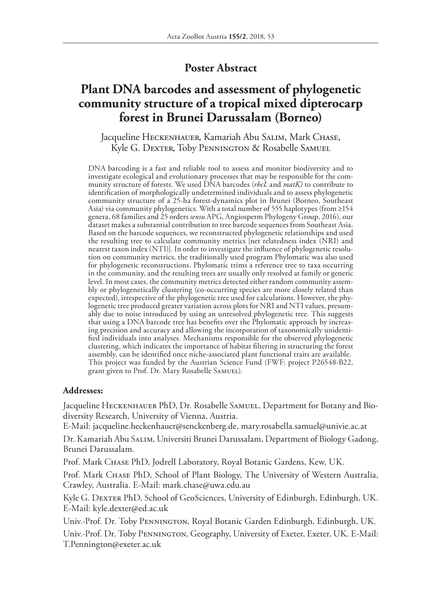## **Poster Abstract**

## **Plant DNA barcodes and assessment of phylogenetic community structure of a tropical mixed dipterocarp forest in Brunei Darussalam (Borneo)**

Jacqueline Heckenhauer, Kamariah Abu Salim, Mark Chase, Kyle G. Dexter, Toby Pennington & Rosabelle Samuel

DNA barcoding is a fast and reliable tool to assess and monitor biodiversity and to investigate ecological and evolutionary processes that may be responsible for the community structure of forests. We used DNA barcodes (*rbcL* and *matK)* to contribute to identification of morphologically undetermined individuals and to assess phylogenetic community structure of a 25-ha forest-dynamics plot in Brunei (Borneo, Southeast Asia) via community phylogenetics. With a total number of 555 haplotypes (from ≥154 genera, 68 families and 25 orders *sensu* APG, Angiosperm Phylogeny Group, 2016), our dataset makes a substantial contribution to tree barcode sequences from Southeast Asia. Based on the barcode sequences, we reconstructed phylogenetic relationships and used the resulting tree to calculate community metrics [net relatedness index (NRI) and nearest taxon index (NTI)]. In order to investigate the influence of phylogenetic resolution on community metrics, the traditionally used program Phylomatic was also used for phylogenetic reconstructions. Phylomatic trims a reference tree to taxa occurring in the community, and the resulting trees are usually only resolved at family or generic level. In most cases, the community metrics detected either random community assembly or phylogenetically clustering (co-occurring species are more closely related than expected), irrespective of the phylogenetic tree used for calculations. However, the phylogenetic tree produced greater variation across plots for NRI and NTI values, presumably due to noise introduced by using an unresolved phylogenetic tree. This suggests that using a DNA barcode tree has benefits over the Phylomatic approach by increasing precision and accuracy and allowing the incorporation of taxonomically unidentified individuals into analyses. Mechanisms responsible for the observed phylogenetic clustering, which indicates the importance of habitat filtering in structuring the forest assembly, can be identified once niche-associated plant functional traits are available. This project was funded by the Austrian Science Fund (FWF; project P26548-B22, grant given to Prof. Dr. Mary Rosabelle Samuel).

## **Addresses:**

Jacqueline HECKENHAUER PhD, Dr. Rosabelle SAMUEL, Department for Botany and Biodiversity Research, University of Vienna, Austria.

E-Mail: jacqueline.heckenhauer@senckenberg.de, mary.rosabella.samuel@univie.ac.at

Dr. Kamariah Abu Salim, Universiti Brunei Darussalam, Department of Biology Gadong, Brunei Darussalam.

Prof. Mark CHASE PhD, Jodrell Laboratory, Royal Botanic Gardens, Kew, UK.

Prof. Mark Chase PhD, School of Plant Biology, The University of Western Australia, Crawley, Australia. E-Mail: mark.chase@uwa.edu.au

Kyle G. DEXTER PhD, School of GeoSciences, University of Edinburgh, Edinburgh, UK. E-Mail: kyle.dexter@ed.ac.uk

Univ.-Prof. Dr. Toby Pennington, Royal Botanic Garden Edinburgh, Edinburgh, UK.

Univ.-Prof. Dr. Toby Pennington, Geography, University of Exeter, Exeter, UK. E-Mail: T.Pennington@exeter.ac.uk